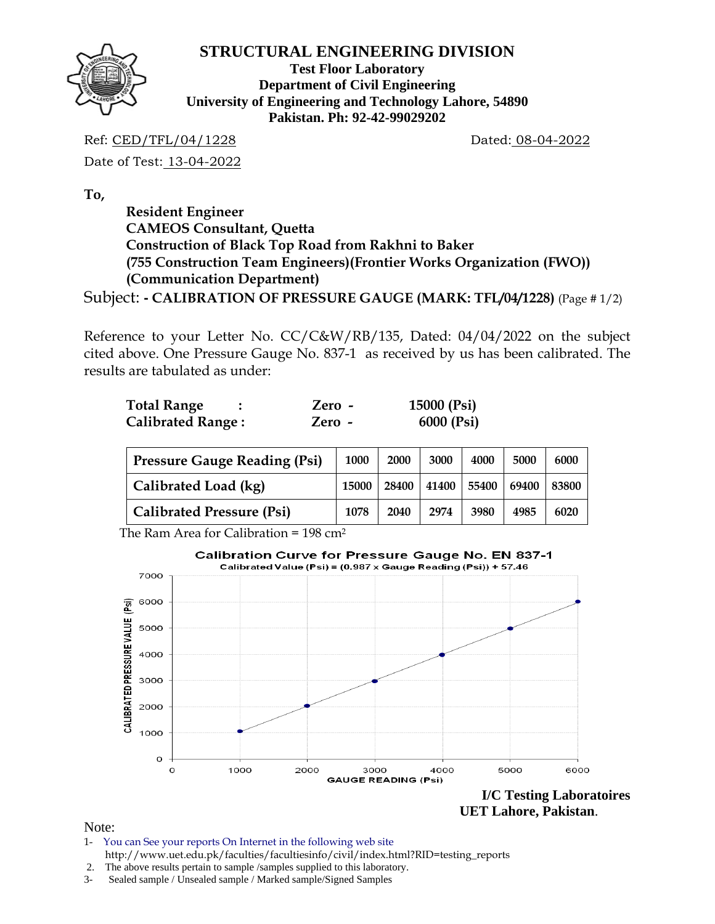

**Test Floor Laboratory Department of Civil Engineering University of Engineering and Technology Lahore, 54890 Pakistan. Ph: 92-42-99029202** 

Ref: CED/TFL/04/1228 Dated: 08-04-2022

Date of Test: 13-04-2022

**To,** 

 **Resident Engineer CAMEOS Consultant, Quetta Construction of Black Top Road from Rakhni to Baker (755 Construction Team Engineers)(Frontier Works Organization (FWO)) (Communication Department)**

Subject: **- CALIBRATION OF PRESSURE GAUGE (MARK: TFL/04/1228)** (Page # 1/2)

Reference to your Letter No. CC/C&W/RB/135, Dated: 04/04/2022 on the subject cited above. One Pressure Gauge No. 837-1 as received by us has been calibrated. The results are tabulated as under:

| <b>Total Range</b>       | Zero - | 15000 (Psi) |
|--------------------------|--------|-------------|
| <b>Calibrated Range:</b> | Zero - | 6000 (Psi)  |

| <b>Pressure Gauge Reading (Psi)</b> | 1000  | 2000  | 3000  | 4000  | 5000  | 6000  |
|-------------------------------------|-------|-------|-------|-------|-------|-------|
| Calibrated Load (kg)                | 15000 | 28400 | 41400 | 55400 | 69400 | 83800 |
| <b>Calibrated Pressure (Psi)</b>    | 1078  | 2040  | 2974  | 3980  | 4985  | 6020  |

The Ram Area for Calibration = 198 cm2



Note:

1- You can See your reports On Internet in the following web site http://www.uet.edu.pk/faculties/facultiesinfo/civil/index.html?RID=testing\_reports

 <sup>2.</sup> The above results pertain to sample /samples supplied to this laboratory.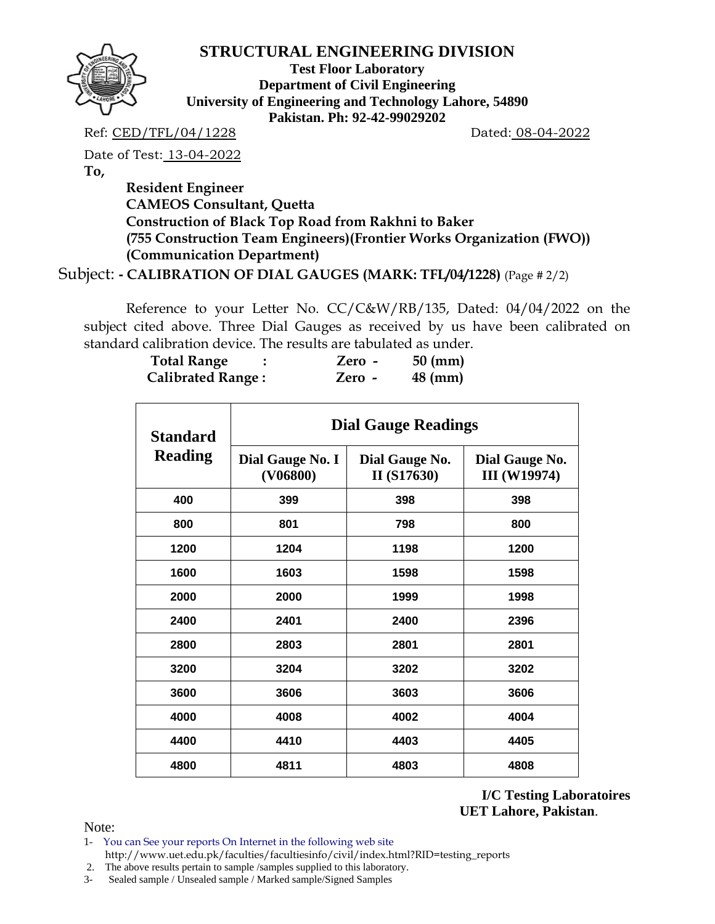

**Test Floor Laboratory Department of Civil Engineering University of Engineering and Technology Lahore, 54890 Pakistan. Ph: 92-42-99029202** 

Ref: CED/TFL/04/1228 Dated: 08-04-2022

Date of Test: 13-04-2022

**To,** 

 **Resident Engineer CAMEOS Consultant, Quetta Construction of Black Top Road from Rakhni to Baker (755 Construction Team Engineers)(Frontier Works Organization (FWO)) (Communication Department)**

Subject: **- CALIBRATION OF DIAL GAUGES (MARK: TFL/04/1228)** (Page # 2/2)

 Reference to your Letter No. CC/C&W/RB/135, Dated: 04/04/2022 on the subject cited above. Three Dial Gauges as received by us have been calibrated on standard calibration device. The results are tabulated as under.

| <b>Total Range</b>       | Zero - | $50 \text{ (mm)}$ |
|--------------------------|--------|-------------------|
| <b>Calibrated Range:</b> | Zero   | $48$ (mm)         |

| <b>Standard</b> | <b>Dial Gauge Readings</b>   |                               |                                       |  |  |  |  |  |  |  |
|-----------------|------------------------------|-------------------------------|---------------------------------------|--|--|--|--|--|--|--|
| <b>Reading</b>  | Dial Gauge No. I<br>(V06800) | Dial Gauge No.<br>II (S17630) | Dial Gauge No.<br><b>III</b> (W19974) |  |  |  |  |  |  |  |
| 400             | 399                          | 398                           | 398                                   |  |  |  |  |  |  |  |
| 800             | 801                          | 798                           | 800                                   |  |  |  |  |  |  |  |
| 1200            | 1204                         | 1198                          | 1200                                  |  |  |  |  |  |  |  |
| 1600            | 1603                         | 1598                          | 1598                                  |  |  |  |  |  |  |  |
| 2000            | 2000                         | 1999                          | 1998                                  |  |  |  |  |  |  |  |
| 2400            | 2401                         | 2400                          | 2396                                  |  |  |  |  |  |  |  |
| 2800            | 2803                         | 2801                          | 2801                                  |  |  |  |  |  |  |  |
| 3200            | 3204                         | 3202                          | 3202                                  |  |  |  |  |  |  |  |
| 3600            | 3606                         | 3603                          | 3606                                  |  |  |  |  |  |  |  |
| 4000            | 4008                         | 4002                          | 4004                                  |  |  |  |  |  |  |  |
| 4400            | 4410                         | 4403                          | 4405                                  |  |  |  |  |  |  |  |
| 4800            | 4811                         | 4803                          | 4808                                  |  |  |  |  |  |  |  |

**I/C Testing Laboratoires UET Lahore, Pakistan**.

Note:

1- You can See your reports On Internet in the following web site http://www.uet.edu.pk/faculties/facultiesinfo/civil/index.html?RID=testing\_reports

2. The above results pertain to sample /samples supplied to this laboratory.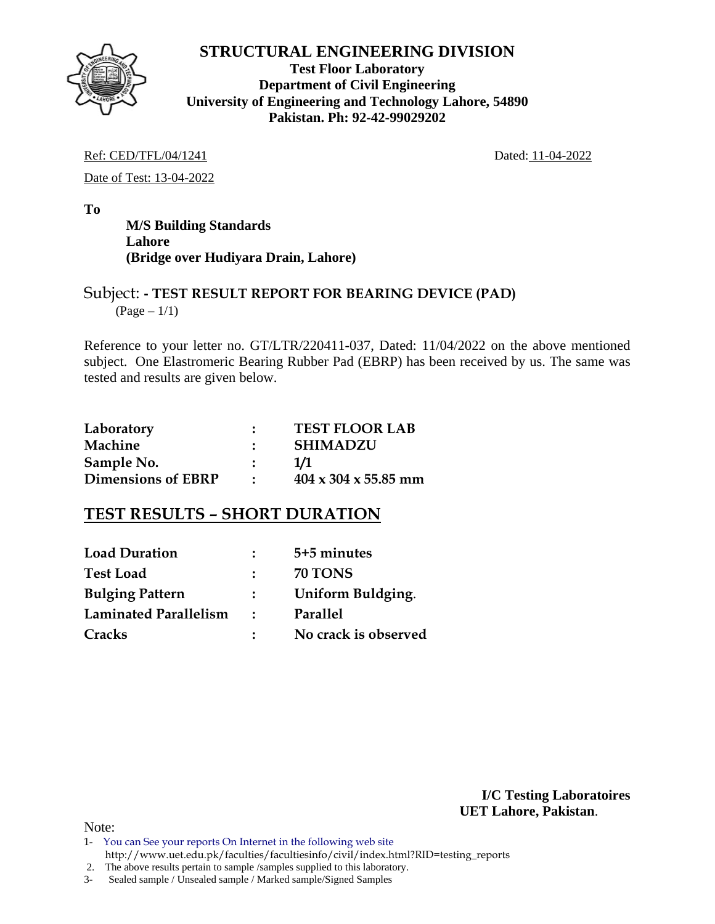

**Test Floor Laboratory Department of Civil Engineering University of Engineering and Technology Lahore, 54890 Pakistan. Ph: 92-42-99029202** 

#### Ref: CED/TFL/04/1241 Dated: 11-04-2022

Date of Test: 13-04-2022

**To** 

 **M/S Building Standards Lahore (Bridge over Hudiyara Drain, Lahore)** 

### Subject: **- TEST RESULT REPORT FOR BEARING DEVICE (PAD)**   $({\rm Page} - 1/1)$

Reference to your letter no. GT/LTR/220411-037, Dated: 11/04/2022 on the above mentioned subject. One Elastromeric Bearing Rubber Pad (EBRP) has been received by us. The same was tested and results are given below.

| Laboratory                | <b>TEST FLOOR LAB</b>            |
|---------------------------|----------------------------------|
| Machine                   | <b>SHIMADZU</b>                  |
| Sample No.                | 1/1                              |
| <b>Dimensions of EBRP</b> | $404 \times 304 \times 55.85$ mm |

# **TEST RESULTS – SHORT DURATION**

| <b>Load Duration</b>         | $\mathcal{L}$ | 5+5 minutes          |
|------------------------------|---------------|----------------------|
| <b>Test Load</b>             | $\mathcal{L}$ | <b>70 TONS</b>       |
| <b>Bulging Pattern</b>       | $\mathcal{L}$ | Uniform Buldging.    |
| <b>Laminated Parallelism</b> | $\mathbf{r}$  | Parallel             |
| Cracks                       |               | No crack is observed |

**I/C Testing Laboratoires UET Lahore, Pakistan**.

Note:

- 1- You can See your reports On Internet in the following web site http://www.uet.edu.pk/faculties/facultiesinfo/civil/index.html?RID=testing\_reports
- 2. The above results pertain to sample /samples supplied to this laboratory.
- 3- Sealed sample / Unsealed sample / Marked sample/Signed Samples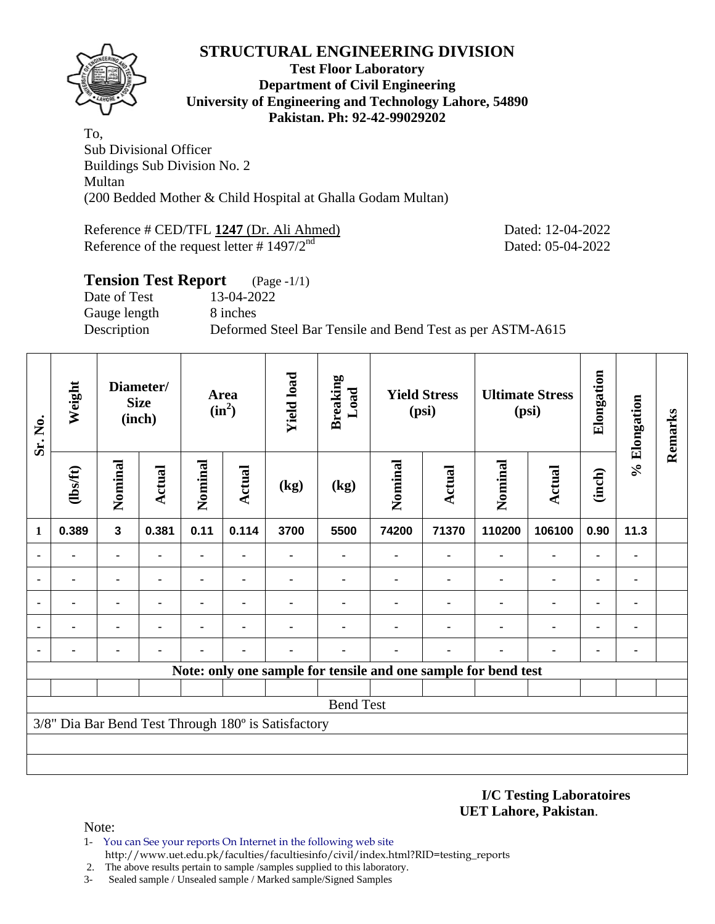

#### **Test Floor Laboratory Department of Civil Engineering University of Engineering and Technology Lahore, 54890 Pakistan. Ph: 92-42-99029202**

To, Sub Divisional Officer Buildings Sub Division No. 2 Multan (200 Bedded Mother & Child Hospital at Ghalla Godam Multan)

Reference # CED/TFL **1247** (Dr. Ali Ahmed) Dated: 12-04-2022 Reference of the request letter  $\# 1497/2^{nd}$  Dated: 05-04-2022

| <b>Tension Test Report</b> | $(Page - 1/1)$                                            |
|----------------------------|-----------------------------------------------------------|
| Date of Test               | 13-04-2022                                                |
| Gauge length               | 8 inches                                                  |
| Description                | Deformed Steel Bar Tensile and Bend Test as per ASTM-A615 |
|                            |                                                           |

| Sr. No.        | Weight  | Diameter/<br><b>Size</b><br>(inch) |                |         | <b>Yield load</b><br>Area<br>$(in^2)$ |                                                     | <b>Breaking</b><br>Load                                        | <b>Yield Stress</b><br>(psi) |               | <b>Ultimate Stress</b><br>(psi) |                              | Elongation | % Elongation | Remarks |
|----------------|---------|------------------------------------|----------------|---------|---------------------------------------|-----------------------------------------------------|----------------------------------------------------------------|------------------------------|---------------|---------------------------------|------------------------------|------------|--------------|---------|
|                | (1bsft) | Nominal                            | <b>Actual</b>  | Nominal | Actual                                | (kg)                                                | (kg)                                                           | Nominal                      | <b>Actual</b> | Nominal                         | <b>Actual</b>                | (inch)     |              |         |
| 1              | 0.389   | $\overline{\mathbf{3}}$            | 0.381          | 0.11    | 0.114                                 | 3700                                                | 5500                                                           | 74200                        | 71370         | 110200                          | 106100                       | 0.90       | 11.3         |         |
| $\blacksquare$ |         |                                    |                |         |                                       |                                                     |                                                                |                              | ٠             | $\blacksquare$                  | $\qquad \qquad \blacksquare$ | ۰          | ٠            |         |
| ٠              | ۰       | $\blacksquare$                     | $\blacksquare$ | ۰       | $\blacksquare$                        | ۰                                                   | ۰                                                              |                              | ÷             | $\blacksquare$                  | $\blacksquare$               |            | ٠            |         |
|                |         | $\blacksquare$                     | $\blacksquare$ |         | ٠                                     |                                                     |                                                                |                              | ٠             |                                 | $\blacksquare$               | ۰          | ۰            |         |
|                |         | ٠                                  |                |         |                                       |                                                     |                                                                |                              |               |                                 | ۰                            | ۰          | ٠            |         |
| ٠              |         | ۰                                  |                |         |                                       |                                                     |                                                                |                              |               |                                 | ۰                            | ۰          | ٠            |         |
|                |         |                                    |                |         |                                       |                                                     | Note: only one sample for tensile and one sample for bend test |                              |               |                                 |                              |            |              |         |
|                |         |                                    |                |         |                                       |                                                     |                                                                |                              |               |                                 |                              |            |              |         |
|                |         |                                    |                |         |                                       |                                                     | <b>Bend Test</b>                                               |                              |               |                                 |                              |            |              |         |
|                |         |                                    |                |         |                                       | 3/8" Dia Bar Bend Test Through 180° is Satisfactory |                                                                |                              |               |                                 |                              |            |              |         |
|                |         |                                    |                |         |                                       |                                                     |                                                                |                              |               |                                 |                              |            |              |         |
|                |         |                                    |                |         |                                       |                                                     |                                                                |                              |               |                                 |                              |            |              |         |

#### **I/C Testing Laboratoires UET Lahore, Pakistan**.

Note:

- 1- You can See your reports On Internet in the following web site http://www.uet.edu.pk/faculties/facultiesinfo/civil/index.html?RID=testing\_reports
- 2. The above results pertain to sample /samples supplied to this laboratory.
- 3- Sealed sample / Unsealed sample / Marked sample/Signed Samples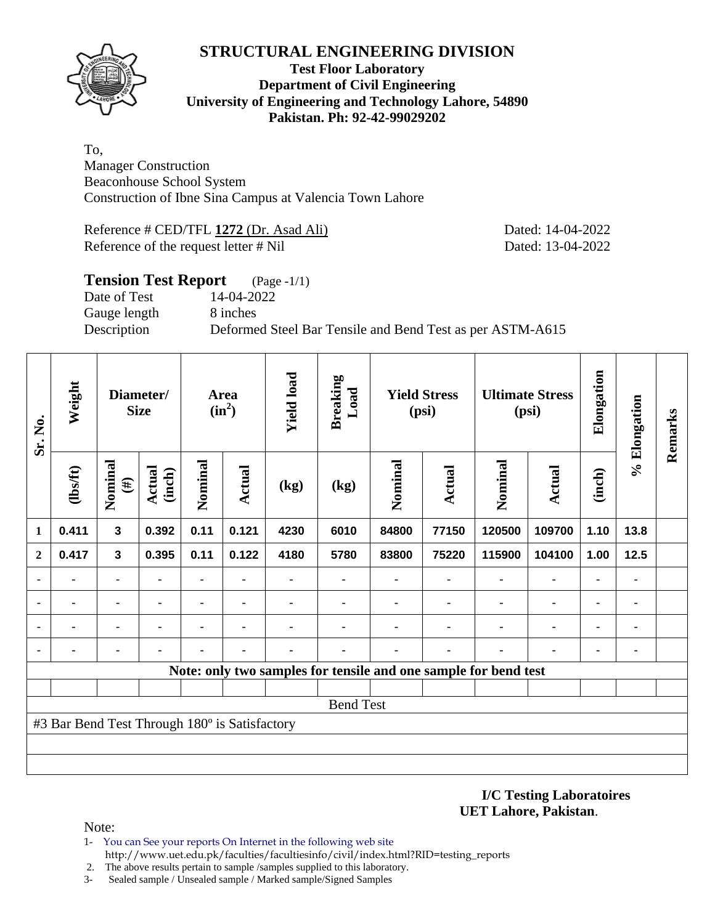

### **Test Floor Laboratory Department of Civil Engineering University of Engineering and Technology Lahore, 54890 Pakistan. Ph: 92-42-99029202**

To, Manager Construction Beaconhouse School System Construction of Ibne Sina Campus at Valencia Town Lahore

Reference # CED/TFL **1272** (Dr. Asad Ali) Dated: 14-04-2022 Reference of the request letter # Nil Dated: 13-04-2022

| <b>Tension Test Report</b> | $(Page - 1/1)$                                            |
|----------------------------|-----------------------------------------------------------|
| Date of Test               | 14-04-2022                                                |
| Gauge length               | 8 inches                                                  |
| Description                | Deformed Steel Bar Tensile and Bend Test as per ASTM-A615 |
|                            |                                                           |

| Sr. No.                  | Weight<br>Diameter/<br><b>Size</b>            |                   |                         |         | Area<br>$(in^2)$ | <b>Yield load</b> | <b>Breaking</b><br>Load                                         | <b>Yield Stress</b><br>(psi) |        |         | <b>Ultimate Stress</b><br>(psi) |                | % Elongation | Remarks |
|--------------------------|-----------------------------------------------|-------------------|-------------------------|---------|------------------|-------------------|-----------------------------------------------------------------|------------------------------|--------|---------|---------------------------------|----------------|--------------|---------|
|                          | (1bsft)                                       | Nominal<br>$(\#)$ | <b>Actual</b><br>(inch) | Nominal | Actual           | (kg)              | (kg)                                                            | Nominal                      | Actual | Nominal | Actual                          | (inch)         |              |         |
| 1                        | 0.411                                         | $\mathbf{3}$      | 0.392                   | 0.11    | 0.121            | 4230              | 6010                                                            | 84800                        | 77150  | 120500  | 109700                          | 1.10           | 13.8         |         |
| $\mathbf{2}$             | 0.417                                         | $\mathbf{3}$      | 0.395                   | 0.11    | 0.122            | 4180              | 5780                                                            | 83800                        | 75220  | 115900  | 104100                          | 1.00           | 12.5         |         |
| $\blacksquare$           |                                               |                   |                         |         |                  |                   |                                                                 |                              |        |         | $\blacksquare$                  |                |              |         |
| $\overline{\phantom{a}}$ |                                               |                   |                         |         |                  |                   |                                                                 |                              |        |         | $\blacksquare$                  | ٠              |              |         |
| ٠                        |                                               | ٠                 |                         |         | $\blacksquare$   |                   |                                                                 |                              |        |         | $\blacksquare$                  | $\blacksquare$ |              |         |
|                          |                                               |                   |                         |         |                  |                   |                                                                 |                              |        |         |                                 |                |              |         |
|                          |                                               |                   |                         |         |                  |                   | Note: only two samples for tensile and one sample for bend test |                              |        |         |                                 |                |              |         |
|                          |                                               |                   |                         |         |                  |                   |                                                                 |                              |        |         |                                 |                |              |         |
|                          |                                               |                   |                         |         |                  |                   | <b>Bend Test</b>                                                |                              |        |         |                                 |                |              |         |
|                          | #3 Bar Bend Test Through 180° is Satisfactory |                   |                         |         |                  |                   |                                                                 |                              |        |         |                                 |                |              |         |
|                          |                                               |                   |                         |         |                  |                   |                                                                 |                              |        |         |                                 |                |              |         |
|                          |                                               |                   |                         |         |                  |                   |                                                                 |                              |        |         |                                 |                |              |         |

**I/C Testing Laboratoires UET Lahore, Pakistan**.

Note:

- 1- You can See your reports On Internet in the following web site http://www.uet.edu.pk/faculties/facultiesinfo/civil/index.html?RID=testing\_reports
- 2. The above results pertain to sample /samples supplied to this laboratory.
- 3- Sealed sample / Unsealed sample / Marked sample/Signed Samples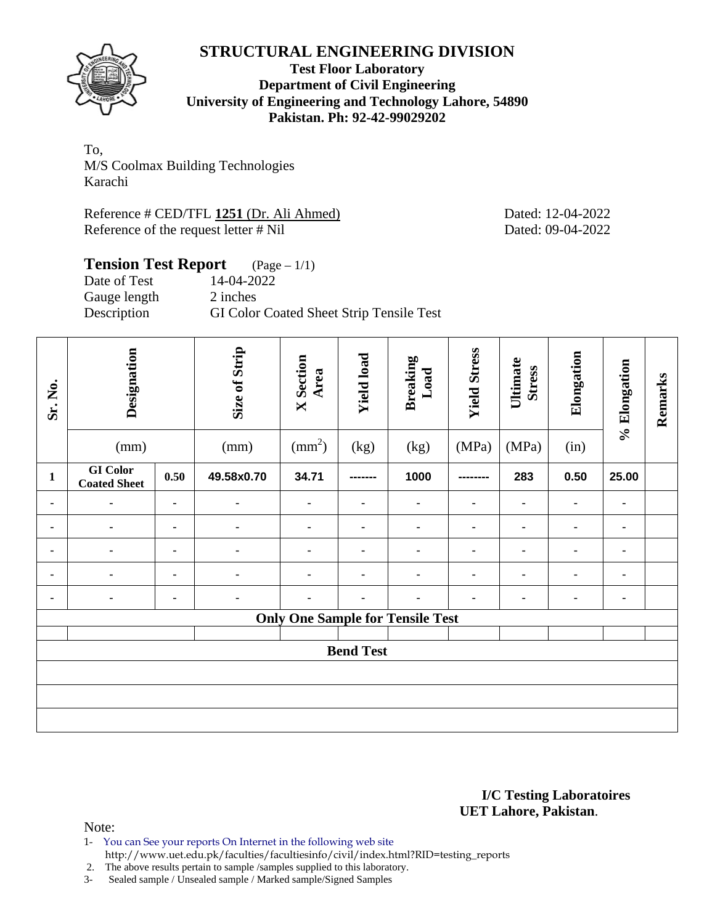

**Test Floor Laboratory Department of Civil Engineering University of Engineering and Technology Lahore, 54890 Pakistan. Ph: 92-42-99029202** 

To, M/S Coolmax Building Technologies Karachi

Reference # CED/TFL **1251** (Dr. Ali Ahmed) Dated: 12-04-2022 Reference of the request letter # Nil Dated: 09-04-2022

# **Tension Test Report** (Page – 1/1)<br>Date of Test 14-04-2022

Date of Test Gauge length 2 inches Description GI Color Coated Sheet Strip Tensile Test

| Sr. No.        | Designation<br>(mm) |                | Size of Strip<br>(mm) | <b>X</b> Section<br>Area<br>$\text{mm}^2$ | <b>Yield load</b><br>(kg) | <b>Breaking</b><br>Load<br>(kg) | <b>Yield Stress</b><br>(MPa) | Ultimate<br><b>Stress</b><br>(MPa) | Elongation<br>(in) | % Elongation   | Remarks |
|----------------|---------------------|----------------|-----------------------|-------------------------------------------|---------------------------|---------------------------------|------------------------------|------------------------------------|--------------------|----------------|---------|
|                | <b>GI</b> Color     |                |                       |                                           |                           |                                 |                              |                                    |                    |                |         |
| $\mathbf{1}$   | <b>Coated Sheet</b> | 0.50           | 49.58x0.70            | 34.71                                     | --------                  | 1000                            | --------                     | 283                                | 0.50               | 25.00          |         |
| ۰              | $\blacksquare$      | ٠              | ٠                     | ۰                                         | ٠                         | ٠                               | ۰                            |                                    |                    | ۰              |         |
| ۰              | ٠                   |                |                       | ۰                                         | ٠                         | ٠                               | ۰                            | $\blacksquare$                     |                    | ۰              |         |
| $\blacksquare$ | $\blacksquare$      | ٠              | ٠                     |                                           | ٠                         | ٠                               | $\blacksquare$               |                                    |                    | ٠              |         |
| $\blacksquare$ | $\blacksquare$      | ۰              |                       | ۰                                         | $\blacksquare$            | ٠                               | ٠                            | $\blacksquare$                     |                    | ٠              |         |
| $\blacksquare$ | ۰                   | $\blacksquare$ | ٠                     |                                           |                           |                                 | $\blacksquare$               |                                    |                    | $\blacksquare$ |         |
|                |                     |                |                       | <b>Only One Sample for Tensile Test</b>   |                           |                                 |                              |                                    |                    |                |         |
|                |                     |                |                       |                                           |                           |                                 |                              |                                    |                    |                |         |
|                |                     |                |                       |                                           | <b>Bend Test</b>          |                                 |                              |                                    |                    |                |         |
|                |                     |                |                       |                                           |                           |                                 |                              |                                    |                    |                |         |
|                |                     |                |                       |                                           |                           |                                 |                              |                                    |                    |                |         |
|                |                     |                |                       |                                           |                           |                                 |                              |                                    |                    |                |         |

#### **I/C Testing Laboratoires UET Lahore, Pakistan**.

Note:

- 1- You can See your reports On Internet in the following web site
- http://www.uet.edu.pk/faculties/facultiesinfo/civil/index.html?RID=testing\_reports

2. The above results pertain to sample /samples supplied to this laboratory.